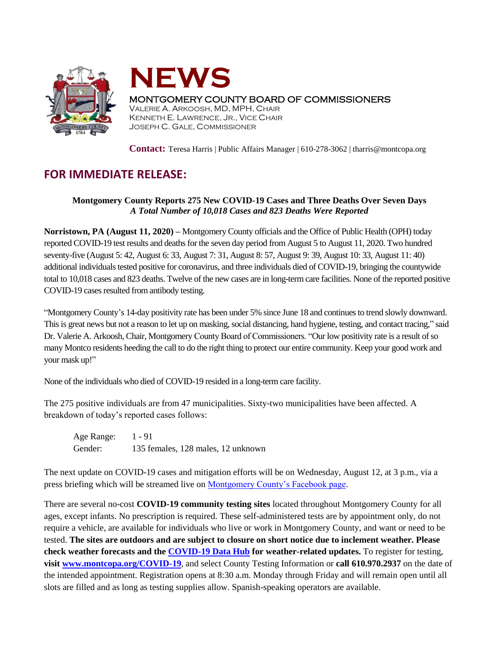



## MONTGOMERY COUNTY BOARD OF COMMISSIONERS

VALERIE A. ARKOOSH, MD, MPH, CHAIR KENNETH E. LAWRENCE, JR., VICE CHAIR JOSEPH C. GALE, COMMISSIONER

**Contact:** Teresa Harris | Public Affairs Manager | 610-278-3062 | tharris@montcopa.org

## **FOR IMMEDIATE RELEASE:**

## **Montgomery County Reports 275 New COVID-19 Cases and Three Deaths Over Seven Days** *A Total Number of 10,018 Cases and 823 Deaths Were Reported*

**Norristown, PA (August 11, 2020) –** Montgomery County officials and the Office of Public Health (OPH) today reported COVID-19 test results and deaths for the seven day period from August 5 to August 11, 2020. Two hundred seventy-five (August 5: 42, August 6: 33, August 7: 31, August 8: 57, August 9: 39, August 10: 33, August 11: 40) additional individuals tested positive for coronavirus, and three individuals died of COVID-19, bringing the countywide total to 10,018 cases and 823 deaths. Twelve of the new cases are in long-term care facilities. None of the reported positive COVID-19 cases resulted from antibody testing.

"Montgomery County's 14-day positivity rate has been under 5% since June 18 and continues to trend slowly downward. This is great news but not a reason to let up on masking, social distancing, hand hygiene, testing, and contact tracing," said Dr. Valerie A. Arkoosh, Chair, Montgomery County Board of Commissioners. "Our low positivity rate is a result of so many Montco residents heeding the call to do the right thing to protect our entire community. Keep your good work and your mask up!"

None of the individuals who died of COVID-19 resided in a long-term care facility.

The 275 positive individuals are from 47 municipalities. Sixty-two municipalities have been affected. A breakdown of today's reported cases follows:

Age Range: 1 - 91 Gender: 135 females, 128 males, 12 unknown

The next update on COVID-19 cases and mitigation efforts will be on Wednesday, August 12, at 3 p.m., via a press briefing which will be streamed live on [Montgomery County's Facebook page.](https://www.facebook.com/montgomery.county.pa/)

There are several no-cost **COVID-19 community testing sites** located throughout Montgomery County for all ages, except infants. No prescription is required. These self-administered tests are by appointment only, do not require a vehicle, are available for individuals who live or work in Montgomery County, and want or need to be tested. **The sites are outdoors and are subject to closure on short notice due to inclement weather. Please check weather forecasts and the [COVID-19 Data Hub](https://data-montcopa.opendata.arcgis.com/pages/covid-19) for weather-related updates.** To register for testing, **visit [www.montcopa.org/COVID-19](http://www.montcopa.org/COVID-19)**, and select County Testing Information or **call 610.970.2937** on the date of the intended appointment. Registration opens at 8:30 a.m. Monday through Friday and will remain open until all slots are filled and as long as testing supplies allow. Spanish-speaking operators are available.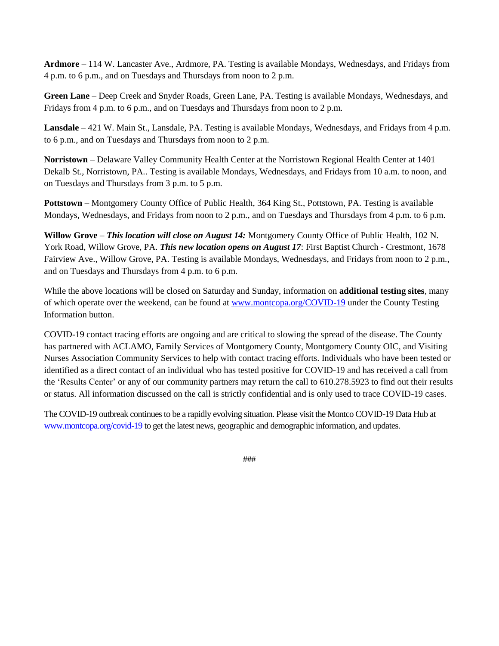**Ardmore** – 114 W. Lancaster Ave., Ardmore, PA. Testing is available Mondays, Wednesdays, and Fridays from 4 p.m. to 6 p.m., and on Tuesdays and Thursdays from noon to 2 p.m.

**Green Lane** – Deep Creek and Snyder Roads, Green Lane, PA. Testing is available Mondays, Wednesdays, and Fridays from 4 p.m. to 6 p.m., and on Tuesdays and Thursdays from noon to 2 p.m.

**Lansdale** – 421 W. Main St., Lansdale, PA. Testing is available Mondays, Wednesdays, and Fridays from 4 p.m. to 6 p.m., and on Tuesdays and Thursdays from noon to 2 p.m.

**Norristown** – Delaware Valley Community Health Center at the Norristown Regional Health Center at 1401 Dekalb St., Norristown, PA.. Testing is available Mondays, Wednesdays, and Fridays from 10 a.m. to noon, and on Tuesdays and Thursdays from 3 p.m. to 5 p.m.

**Pottstown –** Montgomery County Office of Public Health, 364 King St., Pottstown, PA. Testing is available Mondays, Wednesdays, and Fridays from noon to 2 p.m., and on Tuesdays and Thursdays from 4 p.m. to 6 p.m.

**Willow Grove** – *This location will close on August 14:* Montgomery County Office of Public Health, 102 N. York Road, Willow Grove, PA. *This new location opens on August 17*: First Baptist Church - Crestmont, 1678 Fairview Ave., Willow Grove, PA. Testing is available Mondays, Wednesdays, and Fridays from noon to 2 p.m., and on Tuesdays and Thursdays from 4 p.m. to 6 p.m.

While the above locations will be closed on Saturday and Sunday, information on **additional testing sites**, many of which operate over the weekend, can be found at [www.montcopa.org/COVID-19](http://www.montcopa.org/COVID-19) under the County Testing Information button.

COVID-19 contact tracing efforts are ongoing and are critical to slowing the spread of the disease. The County has partnered with ACLAMO, Family Services of Montgomery County, Montgomery County OIC, and Visiting Nurses Association Community Services to help with contact tracing efforts. Individuals who have been tested or identified as a direct contact of an individual who has tested positive for COVID-19 and has received a call from the 'Results Center' or any of our community partners may return the call to 610.278.5923 to find out their results or status. All information discussed on the call is strictly confidential and is only used to trace COVID-19 cases.

The COVID-19 outbreak continues to be a rapidly evolving situation. Please visit the Montco COVID-19 Data Hub at [www.montcopa.org/covid-19](http://www.montcopa.org/covid-19) to get the latest news, geographic and demographic information, and updates.

###